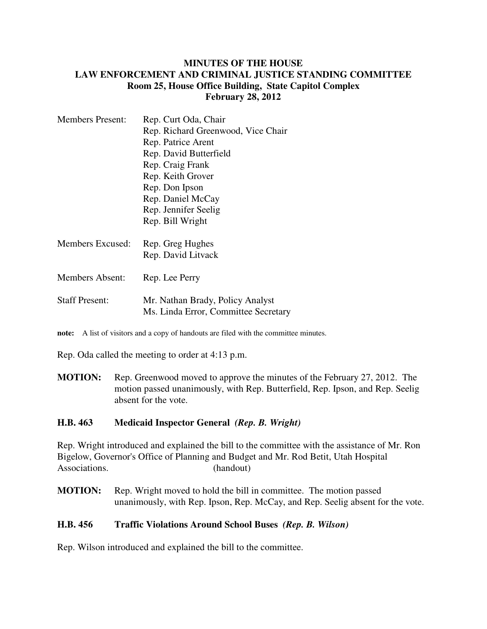## **MINUTES OF THE HOUSE LAW ENFORCEMENT AND CRIMINAL JUSTICE STANDING COMMITTEE Room 25, House Office Building, State Capitol Complex February 28, 2012**

| <b>Members Present:</b> | Rep. Curt Oda, Chair                                                     |
|-------------------------|--------------------------------------------------------------------------|
|                         | Rep. Richard Greenwood, Vice Chair                                       |
|                         | Rep. Patrice Arent                                                       |
|                         | Rep. David Butterfield                                                   |
|                         | Rep. Craig Frank                                                         |
|                         | Rep. Keith Grover                                                        |
|                         | Rep. Don Ipson                                                           |
|                         | Rep. Daniel McCay                                                        |
|                         | Rep. Jennifer Seelig                                                     |
|                         | Rep. Bill Wright                                                         |
| Members Excused:        | Rep. Greg Hughes                                                         |
|                         | Rep. David Litvack                                                       |
| <b>Members Absent:</b>  | Rep. Lee Perry                                                           |
| <b>Staff Present:</b>   | Mr. Nathan Brady, Policy Analyst<br>Ms. Linda Error, Committee Secretary |

**note:** A list of visitors and a copy of handouts are filed with the committee minutes.

Rep. Oda called the meeting to order at 4:13 p.m.

**MOTION:** Rep. Greenwood moved to approve the minutes of the February 27, 2012. The motion passed unanimously, with Rep. Butterfield, Rep. Ipson, and Rep. Seelig absent for the vote.

## **H.B. 463 Medicaid Inspector General** *(Rep. B. Wright)*

Rep. Wright introduced and explained the bill to the committee with the assistance of Mr. Ron Bigelow, Governor's Office of Planning and Budget and Mr. Rod Betit, Utah Hospital Associations. (handout)

**MOTION:** Rep. Wright moved to hold the bill in committee. The motion passed unanimously, with Rep. Ipson, Rep. McCay, and Rep. Seelig absent for the vote.

## **H.B. 456 Traffic Violations Around School Buses** *(Rep. B. Wilson)*

Rep. Wilson introduced and explained the bill to the committee.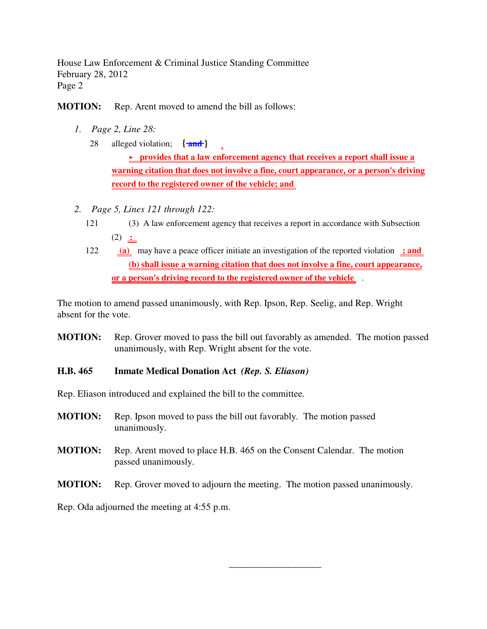House Law Enforcement & Criminal Justice Standing Committee February 28, 2012 Page 2

**MOTION:** Rep. Arent moved to amend the bill as follows:

- *1. Page 2, Line 28:*
	- 28 alleged violation; **{ and }**

 **provides that a law enforcement agency that receives a report shall issue a warning citation that does not involve a fine, court appearance, or a person's driving record to the registered owner of the vehicle; and** 

- *2. Page 5, Lines 121 through 122:*
	- 121 (3) A law enforcement agency that receives a report in accordance with Subsection  $(2)$  :
	- 122 **(a)** may have a peace officer initiate an investigation of the reported violation **; and (b) shall issue a warning citation that does not involve a fine, court appearance, or a person's driving record to the registered owner of the vehicle** .

The motion to amend passed unanimously, with Rep. Ipson, Rep. Seelig, and Rep. Wright absent for the vote.

**MOTION:** Rep. Grover moved to pass the bill out favorably as amended. The motion passed unanimously, with Rep. Wright absent for the vote.

## **H.B. 465 Inmate Medical Donation Act** *(Rep. S. Eliason)*

Rep. Eliason introduced and explained the bill to the committee.

- **MOTION:** Rep. Ipson moved to pass the bill out favorably. The motion passed unanimously.
- **MOTION:** Rep. Arent moved to place H.B. 465 on the Consent Calendar. The motion passed unanimously.

**MOTION:** Rep. Grover moved to adjourn the meeting. The motion passed unanimously.

\_\_\_\_\_\_\_\_\_\_\_\_\_\_\_\_\_\_\_

Rep. Oda adjourned the meeting at 4:55 p.m.